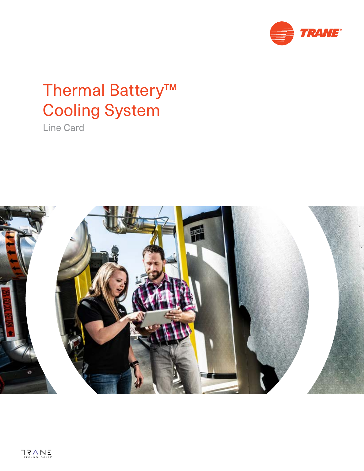

# Thermal Battery™ Cooling System

Line Card

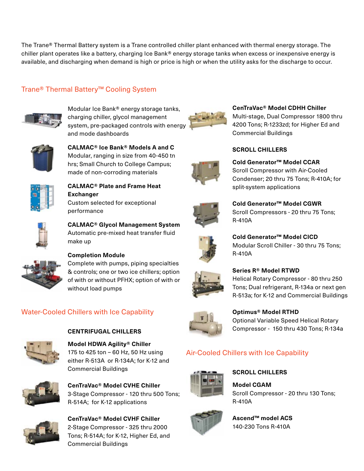The Trane® Thermal Battery system is a Trane controlled chiller plant enhanced with thermal energy storage. The chiller plant operates like a battery, charging Ice Bank® energy storage tanks when excess or inexpensive energy is available, and discharging when demand is high or price is high or when the utility asks for the discharge to occur.

#### Trane® Thermal Battery™ Cooling System



Modular Ice Bank® energy storage tanks, charging chiller, glycol management system, pre-packaged controls with energy and mode dashboards



**CALMAC® Ice Bank® Models A and C**  Modular, ranging in size from 40-450 tn hrs; Small Church to College Campus; made of non-corroding materials



**CALMAC® Plate and Frame Heat Exchanger** Custom selected for exceptional performance



**CALMAC® Glycol Management System** Automatic pre-mixed heat transfer fluid make up



#### **Completion Module**

Complete with pumps, piping specialties & controls; one or two ice chillers; option of with or without PFHX; option of with or without load pumps

#### Water-Cooled Chillers with Ice Capability



**Model HDWA Agility® Chiller** 175 to 425 ton – 60 Hz, 50 Hz using either R-513A or R-134A; for K-12 and Commercial Buildings

**CENTRIFUGAL CHILLERS**



**CenTraVac® Model CVHE Chiller** 3-Stage Compressor - 120 thru 500 Tons; R-514A; for K-12 applications



**CenTraVac® Model CVHF Chiller**  2-Stage Compressor - 325 thru 2000 Tons; R-514A; for K-12, Higher Ed, and Commercial Buildings



**CenTraVac® Model CDHH Chiller**

Multi-stage, Dual Compressor 1800 thru 4200 Tons; R-1233zd; for Higher Ed and Commercial Buildings

#### **SCROLL CHILLERS**



**Cold Generator™ Model CCAR** Scroll Compressor with Air-Cooled Condenser; 20 thru 75 Tons; R-410A; for split-system applications



**Cold Generator™ Model CGWR**  Scroll Compressors - 20 thru 75 Tons; R-410A



**Cold Generator™ Model CICD**  Modular Scroll Chiller - 30 thru 75 Tons; R-410A



**Series R® Model RTWD**  Helical Rotary Compressor - 80 thru 250 Tons; Dual refrigerant, R-134a or next gen R-513a; for K-12 and Commercial Buildings



**Optimus® Model RTHD** Optional Variable Speed Helical Rotary Compressor - 150 thru 430 Tons; R-134a

#### Air-Cooled Chillers with Ice Capability



**SCROLL CHILLERS**

**Model CGAM** Scroll Compressor - 20 thru 130 Tons; R-410A



**Ascend™ model ACS**  140-230 Tons R-410A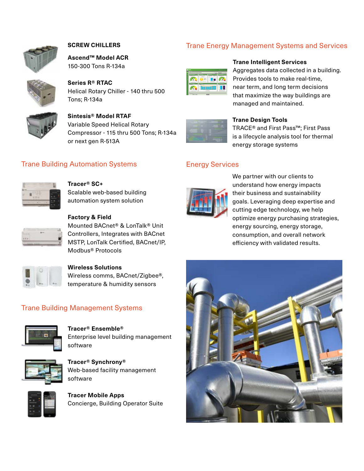

#### **SCREW CHILLERS**

**Ascend™ Model ACR** 150-300 Tons R-134a



**Series R® RTAC** Helical Rotary Chiller - 140 thru 500 Tons; R-134a



### **Sintesis® Model RTAF**

Variable Speed Helical Rotary Compressor - 115 thru 500 Tons; R-134a or next gen R-513A

#### **Trane Building Automation Systems Energy Services**



#### **Tracer® SC+**

Scalable web-based building automation system solution



#### **Factory & Field**

Mounted BACnet® & LonTalk® Unit Controllers, Integrates with BACnet MSTP, LonTalk Certified, BACnet/IP, Modbus® Protocols



## **Wireless Solutions**

Wireless comms, BACnet/Zigbee®, temperature & humidity sensors

#### Trane Building Management Systems



#### **Tracer® Ensemble®**

Enterprise level building management software



**Tracer® Synchrony®** Web-based facility management software



**Tracer Mobile Apps**  Concierge, Building Operator Suite

#### Trane Energy Management Systems and Services



#### **Trane Intelligent Services**

Aggregates data collected in a building. Provides tools to make real-time, near term, and long term decisions that maximize the way buildings are managed and maintained.



#### **Trane Design Tools**

TRACE® and First Pass™; First Pass is a lifecycle analysis tool for thermal energy storage systems



We partner with our clients to understand how energy impacts their business and sustainability goals. Leveraging deep expertise and cutting edge technology, we help optimize energy purchasing strategies, energy sourcing, energy storage, consumption, and overall network efficiency with validated results.

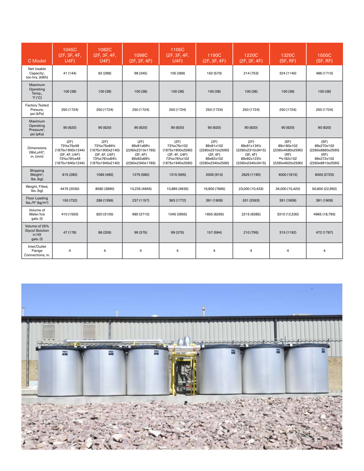| C Model                                                       | 1045C<br>(2F, 3F, 4F,<br>U4F)                                                            | 1082C<br>(2F, 3F, 4F,<br>U4F)                                                                    | 1098C<br>(2F, 3F, 4F)                                                                  | 1105C<br>(2F, 3F, 4F,<br>U4F)                                                              | 1190C<br>(2F, 3F, 4F)                                                              | 1220C<br>(2F, 3F, 4F)                                                                    | 1320C<br>(SF, RF)                                                                | 1500C<br>(SF, RF)                                                                |
|---------------------------------------------------------------|------------------------------------------------------------------------------------------|--------------------------------------------------------------------------------------------------|----------------------------------------------------------------------------------------|--------------------------------------------------------------------------------------------|------------------------------------------------------------------------------------|------------------------------------------------------------------------------------------|----------------------------------------------------------------------------------|----------------------------------------------------------------------------------|
| Net Usable<br>Capacity <sup>i</sup> ,<br>ton-hrs. (kWh)       | 41 (144)                                                                                 | 82 (288)                                                                                         | 98 (345)                                                                               | 105 (369)                                                                                  | 162 (570)                                                                          | 214 (753)                                                                                | 324 (1140)                                                                       | 486 (1710)                                                                       |
| Maximum<br>Operating<br>Temp.,<br>$\degree$ F ( $\degree$ C)  | 100 (38)                                                                                 | 100 (38)                                                                                         | 100 (38)                                                                               | 100 (38)                                                                                   | 100 (38)                                                                           | 100 (38)                                                                                 | 100 (38)                                                                         | 100 (38)                                                                         |
| <b>Factory Tested</b><br>Presure,<br>psi (kPa)                | 250 (1724)                                                                               | 250 (1724)                                                                                       | 250 (1724)                                                                             | 250 (1724)                                                                                 | 250 (1724)                                                                         | 250 (1724)                                                                               | 250 (1724)                                                                       | 250 (1724)                                                                       |
| Maximum<br>Operating<br>Pressure",<br>psi (pKa)               | 90 (620)                                                                                 | 90 (620)                                                                                         | 90 (620)                                                                               | 90 (620)                                                                                   | 90(620)                                                                            | 90 (620)                                                                                 | 90 (620)                                                                         | 90 (620)                                                                         |
| <b>Dimensions</b><br>(WxLxH)iii,<br>in. $(mm)$                | (2F)<br>73%x75x49<br>(1875x1900x1244)<br>(3F, 4F, U4F)<br>73%x76%x49<br>(1875x1940x1244) | (2F)<br>73%x75x841/2<br>(1875x1900x2140)<br>(3F, 4F, U4F)<br>73%x761/2x841/2<br>(1875x1940x2140) | (2F)<br>89x91x691/2<br>(2260x2310x1765)<br>(3F, 4F)<br>89x92x691/2<br>(2260x2340x1765) | (2F)<br>73%x75x102<br>(1875x1900x2590)<br>(3F, 4F, U4F)<br>73%x76%x102<br>(1875x1940x2590) | (2F)<br>89x91x102<br>(2260x2310x2590)<br>(3F, 4F)<br>89x92x102<br>(2260x2340x2590) | (2F)<br>89x91x1341/2<br>(2260x2310x3415)<br>(3F, 4F)<br>89x92x1231/2<br>(2260x2340x3415) | (SF)<br>89x180x102<br>(2260x4580x2590)<br>(RF)<br>89x182x102<br>(2260x4620x2590) | (SF)<br>89x270x102<br>(2260x6860x2590)<br>(RF)<br>89x272x102<br>(2260x6910x2590) |
| Shipping<br>Weight <sup>iv</sup> ,<br>$\mathsf{Ibs}.$ (kg)    | 615 (280)                                                                                | 1065 (485)                                                                                       | 1275 (580)                                                                             | 1315 (595)                                                                                 | 2000 (910)                                                                         | 2625 (1190)                                                                              | 4000 (1815)                                                                      | 6000 (2720)                                                                      |
| Weight, Filled,<br>$\mathsf{Ibs}.$ $\mathsf{(kg)}$            | 4475 (2030)                                                                              | 8580 (3890)                                                                                      | 10,235 (4645)                                                                          | 10,885 (4935)                                                                              | 16,900 (7665)                                                                      | 23,000 (10,433)                                                                          | 34,000 (15,420)                                                                  | 50,600 (22,950)                                                                  |
| Floor Loading<br>$lbs./ft^2$ (kg/m <sup>2</sup> )             | 150 (732)                                                                                | 286 (1396)                                                                                       | 237 (1157)                                                                             | 363 (1772)                                                                                 | 391 (1909)                                                                         | 531 (2593)                                                                               | 391 (1909)                                                                       | 391 (1909)                                                                       |
| Volume of<br>Water/Ice<br>gals. (I)                           | 410 (1550)                                                                               | 820 (3105)                                                                                       | 980 (3710)                                                                             | 1045 (3955)                                                                                | 1655 (6265)                                                                        | 2215 (8385)                                                                              | 3310 (12,530)                                                                    | 4965 (18,795)                                                                    |
| Volume of 25%<br><b>Glycol Solution</b><br>in HX<br>gals. (I) | 47 (178)                                                                                 | 86 (326)                                                                                         | 99 (375)                                                                               | 99 (375)                                                                                   | 157 (594)                                                                          | 210 (795)                                                                                | 315 (1192)                                                                       | 472 (1787)                                                                       |
| Inlet/Outlet<br>Flange<br>Connections, in.                    | $\overline{4}$                                                                           | $\overline{4}$                                                                                   | 4                                                                                      | 4                                                                                          | $\overline{4}$                                                                     | $\overline{4}$                                                                           | 4                                                                                | $\overline{4}$                                                                   |

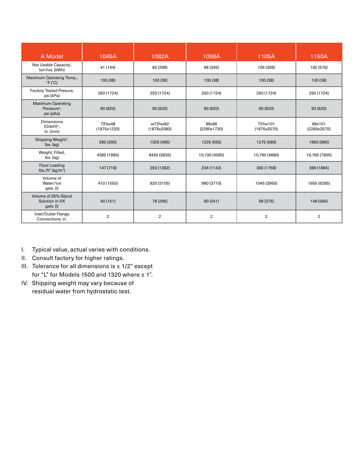| A Model                                                                    | 1045A                                             | 1082A                                              | 1098A                | 1105A                  | 1190A                 |
|----------------------------------------------------------------------------|---------------------------------------------------|----------------------------------------------------|----------------------|------------------------|-----------------------|
| Net Usable Capacity <sup>i</sup> ,<br>ton-hrs. (kWh)                       | 41 (144)                                          | 82 (288)                                           | 98 (345)             | 105 (369)              | 162 (570)             |
| Maximum Operating Temp.,<br>$\degree$ F ( $\degree$ C)                     | 100(38)                                           | 100 (38)                                           | 100 (38)             | 100 (38)               | 100(38)               |
| Factory Tested Presure,<br>psi (kPa)                                       | 250 (1724)                                        | 250 (1724)                                         | 250 (1724)           | 250 (1724)             | 250 (1724)            |
| <b>Maximum Operating</b><br>Pressure <sup>ii</sup> ,<br>psi (pKa)          | 90 (620)                                          | 90 (620)                                           | 90(620)              | 90(620)                | 90 (620)              |
| <b>Dimensions</b><br>(OdxH)iii,<br>in. $(mm)$                              | 73 <sup>3</sup> / <sub>4</sub> x48<br>(1875x1220) | w73 <sup>3</sup> / <sub>4</sub> x82<br>(1875x2080) | 89x68<br>(2260x1730) | 73%x101<br>(1875x2570) | 89x101<br>(2260x2570) |
| Shipping Weight <sup>iv</sup> ,<br>$\mathsf{lbs.}\left(\mathsf{kg}\right)$ | 580 (265)                                         | 1025 (465)                                         | 1225 (555)           | 1275 (580)             | 1950 (885)            |
| Weight, Filled,<br>lbs. (kg)                                               | 4380 (1985)                                       | 8455 (3835)                                        | 10,100 (4580)        | 10,760 (4880)          | 16,765 (7605)         |
| Floor Loading<br>$\frac{1}{2}$ lbs./ft <sup>2</sup> (kg/m <sup>2</sup> )   | 147 (718)                                         | 283 (1382)                                         | 234 (1142)           | 360 (1758)             | 388 (1894)            |
| Volume of<br>Water/Ice<br>gals. (I)                                        | 410 (1550)                                        | 820 (3105)                                         | 980 (3710)           | 1045 (3955)            | 1655 (6265)           |
| Volume of 25% Glycol<br>Solution in HX<br>$gals.$ (I)                      | 40 (151)                                          | 78 (295)                                           | 90(341)              | 99 (375)               | 148 (560)             |
| Inlet/Outlet Flange<br>Connections, in.                                    | $\overline{c}$                                    | $\overline{c}$                                     | $\overline{c}$       | $\overline{c}$         | $\mathbf{2}$          |

- I. Typical value, actual varies with conditions.
- II. Consult factory for higher ratings.
- III. Tolerance for all dimensions is  $\pm$  1/2" except for "L" for Models 1500 and 1320 where  $\pm$  1".
- IV. Shipping weight may vary because of residual water from hydrostatic test.